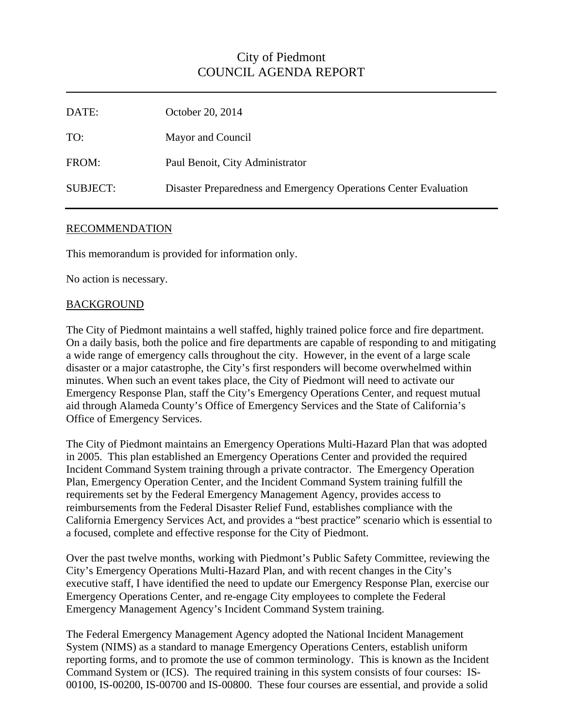## City of Piedmont COUNCIL AGENDA REPORT

| DATE:           | October 20, 2014                                                 |
|-----------------|------------------------------------------------------------------|
| TO:             | Mayor and Council                                                |
| FROM:           | Paul Benoit, City Administrator                                  |
| <b>SUBJECT:</b> | Disaster Preparedness and Emergency Operations Center Evaluation |

## RECOMMENDATION

This memorandum is provided for information only.

No action is necessary.

## **BACKGROUND**

The City of Piedmont maintains a well staffed, highly trained police force and fire department. On a daily basis, both the police and fire departments are capable of responding to and mitigating a wide range of emergency calls throughout the city. However, in the event of a large scale disaster or a major catastrophe, the City's first responders will become overwhelmed within minutes. When such an event takes place, the City of Piedmont will need to activate our Emergency Response Plan, staff the City's Emergency Operations Center, and request mutual aid through Alameda County's Office of Emergency Services and the State of California's Office of Emergency Services.

The City of Piedmont maintains an Emergency Operations Multi-Hazard Plan that was adopted in 2005. This plan established an Emergency Operations Center and provided the required Incident Command System training through a private contractor. The Emergency Operation Plan, Emergency Operation Center, and the Incident Command System training fulfill the requirements set by the Federal Emergency Management Agency, provides access to reimbursements from the Federal Disaster Relief Fund, establishes compliance with the California Emergency Services Act, and provides a "best practice" scenario which is essential to a focused, complete and effective response for the City of Piedmont.

Over the past twelve months, working with Piedmont's Public Safety Committee, reviewing the City's Emergency Operations Multi-Hazard Plan, and with recent changes in the City's executive staff, I have identified the need to update our Emergency Response Plan, exercise our Emergency Operations Center, and re-engage City employees to complete the Federal Emergency Management Agency's Incident Command System training.

The Federal Emergency Management Agency adopted the National Incident Management System (NIMS) as a standard to manage Emergency Operations Centers, establish uniform reporting forms, and to promote the use of common terminology. This is known as the Incident Command System or (ICS). The required training in this system consists of four courses: IS-00100, IS-00200, IS-00700 and IS-00800. These four courses are essential, and provide a solid